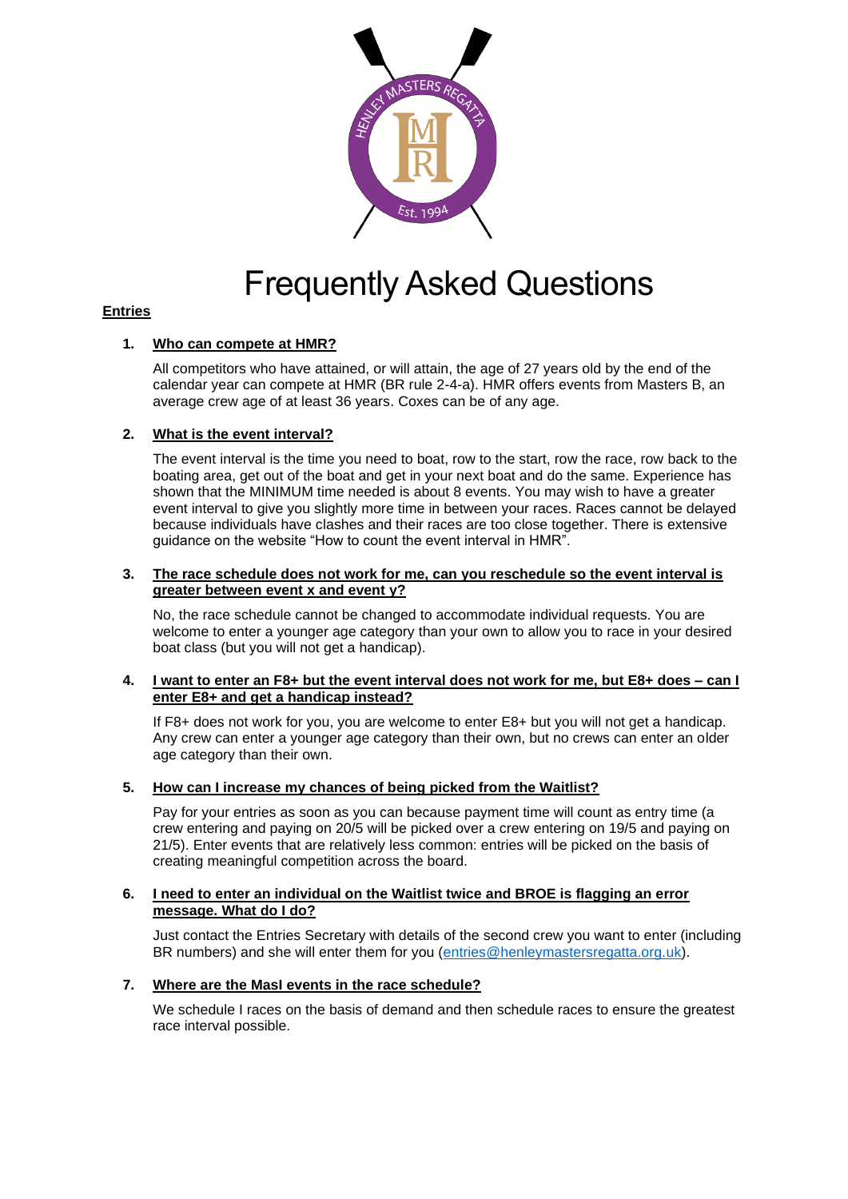

# Frequently Asked Questions

# **Entries**

## **1. Who can compete at HMR?**

All competitors who have attained, or will attain, the age of 27 years old by the end of the calendar year can compete at HMR (BR rule 2-4-a). HMR offers events from Masters B, an average crew age of at least 36 years. Coxes can be of any age.

## **2. What is the event interval?**

The event interval is the time you need to boat, row to the start, row the race, row back to the boating area, get out of the boat and get in your next boat and do the same. Experience has shown that the MINIMUM time needed is about 8 events. You may wish to have a greater event interval to give you slightly more time in between your races. Races cannot be delayed because individuals have clashes and their races are too close together. There is extensive guidance on the website "How to count the event interval in HMR".

#### **3. The race schedule does not work for me, can you reschedule so the event interval is greater between event x and event y?**

No, the race schedule cannot be changed to accommodate individual requests. You are welcome to enter a younger age category than your own to allow you to race in your desired boat class (but you will not get a handicap).

#### **4. I want to enter an F8+ but the event interval does not work for me, but E8+ does – can I enter E8+ and get a handicap instead?**

If F8+ does not work for you, you are welcome to enter E8+ but you will not get a handicap. Any crew can enter a younger age category than their own, but no crews can enter an older age category than their own.

## **5. How can I increase my chances of being picked from the Waitlist?**

Pay for your entries as soon as you can because payment time will count as entry time (a crew entering and paying on 20/5 will be picked over a crew entering on 19/5 and paying on 21/5). Enter events that are relatively less common: entries will be picked on the basis of creating meaningful competition across the board.

#### **6. I need to enter an individual on the Waitlist twice and BROE is flagging an error message. What do I do?**

Just contact the Entries Secretary with details of the second crew you want to enter (including BR numbers) and she will enter them for you [\(entries@henleymastersregatta.org.uk\)](mailto:entries@henleymastersregatta.org.uk).

## **7. Where are the MasI events in the race schedule?**

We schedule I races on the basis of demand and then schedule races to ensure the greatest race interval possible.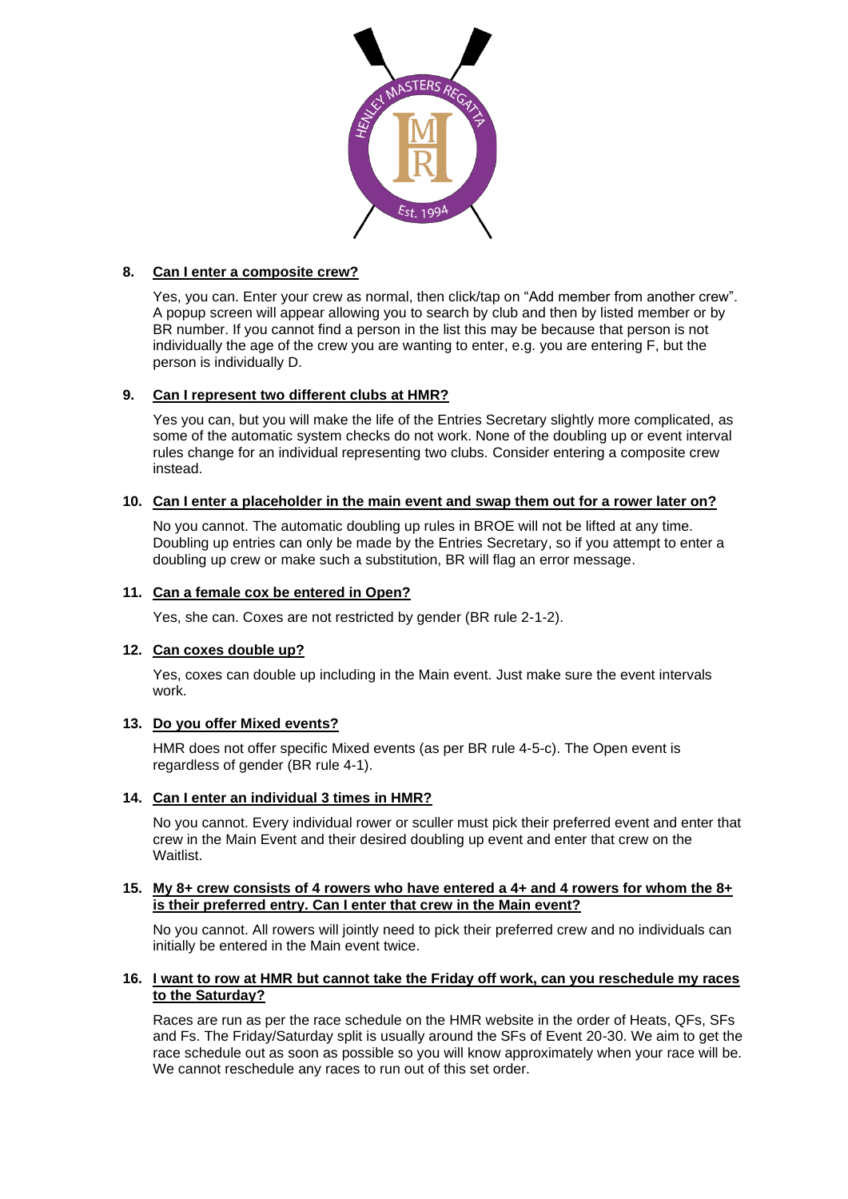

# **8. Can I enter a composite crew?**

Yes, you can. Enter your crew as normal, then click/tap on "Add member from another crew". A popup screen will appear allowing you to search by club and then by listed member or by BR number. If you cannot find a person in the list this may be because that person is not individually the age of the crew you are wanting to enter, e.g. you are entering F, but the person is individually D.

# **9. Can I represent two different clubs at HMR?**

Yes you can, but you will make the life of the Entries Secretary slightly more complicated, as some of the automatic system checks do not work. None of the doubling up or event interval rules change for an individual representing two clubs. Consider entering a composite crew instead.

## **10. Can I enter a placeholder in the main event and swap them out for a rower later on?**

No you cannot. The automatic doubling up rules in BROE will not be lifted at any time. Doubling up entries can only be made by the Entries Secretary, so if you attempt to enter a doubling up crew or make such a substitution, BR will flag an error message.

## **11. Can a female cox be entered in Open?**

Yes, she can. Coxes are not restricted by gender (BR rule 2-1-2).

# **12. Can coxes double up?**

Yes, coxes can double up including in the Main event. Just make sure the event intervals work.

## **13. Do you offer Mixed events?**

HMR does not offer specific Mixed events (as per BR rule 4-5-c). The Open event is regardless of gender (BR rule 4-1).

## **14. Can I enter an individual 3 times in HMR?**

No you cannot. Every individual rower or sculler must pick their preferred event and enter that crew in the Main Event and their desired doubling up event and enter that crew on the Waitlist.

#### **15. My 8+ crew consists of 4 rowers who have entered a 4+ and 4 rowers for whom the 8+ is their preferred entry. Can I enter that crew in the Main event?**

No you cannot. All rowers will jointly need to pick their preferred crew and no individuals can initially be entered in the Main event twice.

## **16. I want to row at HMR but cannot take the Friday off work, can you reschedule my races to the Saturday?**

Races are run as per the race schedule on the HMR website in the order of Heats, QFs, SFs and Fs. The Friday/Saturday split is usually around the SFs of Event 20-30. We aim to get the race schedule out as soon as possible so you will know approximately when your race will be. We cannot reschedule any races to run out of this set order.